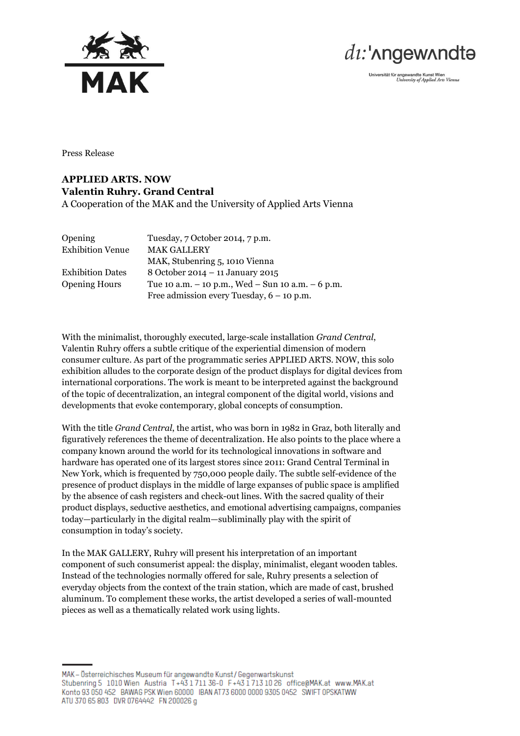



Universität für angewandte Kunst Wien<br>University of Applied Arts Vienna

Press Release

## **APPLIED ARTS. NOW Valentin Ruhry. Grand Central** A Cooperation of the MAK and the University of Applied Arts Vienna

| Opening                 | Tuesday, 7 October 2014, 7 p.m.                         |
|-------------------------|---------------------------------------------------------|
| <b>Exhibition Venue</b> | <b>MAK GALLERY</b>                                      |
|                         | MAK, Stubenring 5, 1010 Vienna                          |
| <b>Exhibition Dates</b> | 8 October 2014 - 11 January 2015                        |
| <b>Opening Hours</b>    | Tue 10 a.m. $-$ 10 p.m., Wed $-$ Sun 10 a.m. $-$ 6 p.m. |
|                         | Free admission every Tuesday, $6 - 10$ p.m.             |

With the minimalist, thoroughly executed, large-scale installation *Grand Central*, Valentin Ruhry offers a subtle critique of the experiential dimension of modern consumer culture. As part of the programmatic series APPLIED ARTS. NOW, this solo exhibition alludes to the corporate design of the product displays for digital devices from international corporations. The work is meant to be interpreted against the background of the topic of decentralization, an integral component of the digital world, visions and developments that evoke contemporary, global concepts of consumption.

With the title *Grand Central*, the artist, who was born in 1982 in Graz, both literally and figuratively references the theme of decentralization. He also points to the place where a company known around the world for its technological innovations in software and hardware has operated one of its largest stores since 2011: Grand Central Terminal in New York, which is frequented by 750,000 people daily. The subtle self-evidence of the presence of product displays in the middle of large expanses of public space is amplified by the absence of cash registers and check-out lines. With the sacred quality of their product displays, seductive aesthetics, and emotional advertising campaigns, companies today—particularly in the digital realm—subliminally play with the spirit of consumption in today's society.

In the MAK GALLERY, Ruhry will present his interpretation of an important component of such consumerist appeal: the display, minimalist, elegant wooden tables. Instead of the technologies normally offered for sale, Ruhry presents a selection of everyday objects from the context of the train station, which are made of cast, brushed aluminum. To complement these works, the artist developed a series of wall-mounted pieces as well as a thematically related work using lights.

MAK - Österreichisches Museum für angewandte Kunst / Gegenwartskunst Stubenring 5 1010 Wien Austria T+43 1711 36-0 F+43 1713 10 26 office@MAK.at www.MAK.at Konto 93 050 452 BAWAG PSK Wien 60000 IBAN AT73 6000 0000 9305 0452 SWIFT OPSKATWW ATU 370 65 803 DVR 0764442 FN 200026 g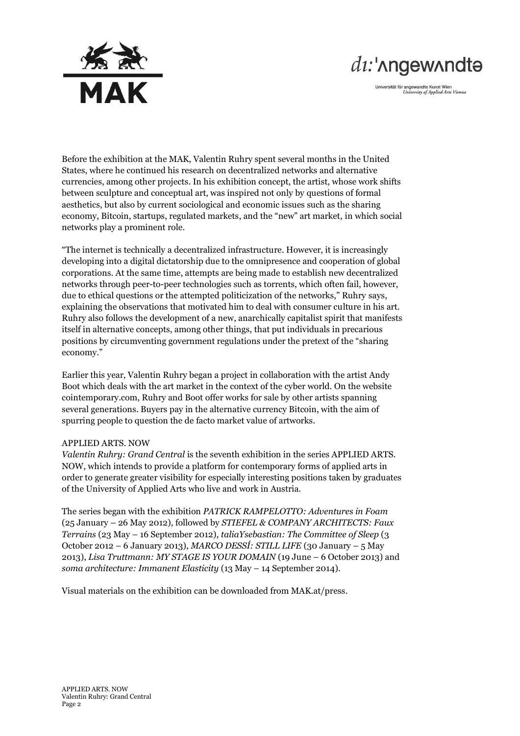

## $di$ :' $\Lambda$ ngew $\Lambda$ ndtə

Universität für angewandte Kunst Wien<br>University of Applied Arts Vienna

Before the exhibition at the MAK, Valentin Ruhry spent several months in the United States, where he continued his research on decentralized networks and alternative currencies, among other projects. In his exhibition concept, the artist, whose work shifts between sculpture and conceptual art, was inspired not only by questions of formal aesthetics, but also by current sociological and economic issues such as the sharing economy, Bitcoin, startups, regulated markets, and the "new" art market, in which social networks play a prominent role.

"The internet is technically a decentralized infrastructure. However, it is increasingly developing into a digital dictatorship due to the omnipresence and cooperation of global corporations. At the same time, attempts are being made to establish new decentralized networks through peer-to-peer technologies such as torrents, which often fail, however, due to ethical questions or the attempted politicization of the networks," Ruhry says, explaining the observations that motivated him to deal with consumer culture in his art. Ruhry also follows the development of a new, anarchically capitalist spirit that manifests itself in alternative concepts, among other things, that put individuals in precarious positions by circumventing government regulations under the pretext of the "sharing economy."

Earlier this year, Valentin Ruhry began a project in collaboration with the artist Andy Boot which deals with the art market in the context of the cyber world. On the website cointemporary.com, Ruhry and Boot offer works for sale by other artists spanning several generations. Buyers pay in the alternative currency Bitcoin, with the aim of spurring people to question the de facto market value of artworks.

## APPLIED ARTS. NOW

*Valentin Ruhry: Grand Central* is the seventh exhibition in the series APPLIED ARTS. NOW, which intends to provide a platform for contemporary forms of applied arts in order to generate greater visibility for especially interesting positions taken by graduates of the University of Applied Arts who live and work in Austria.

The series began with the exhibition *PATRICK RAMPELOTTO: Adventures in Foam* (25 January – 26 May 2012), followed by *STIEFEL & COMPANY ARCHITECTS: Faux Terrains* (23 May – 16 September 2012), *taliaYsebastian: The Committee of Sleep* (3 October 2012 – 6 January 2013), *MARCO DESSÍ: STILL LIFE* (30 January – 5 May 2013), *Lisa Truttmann: MY STAGE IS YOUR DOMAIN* (19 June – 6 October 2013) and *soma architecture: Immanent Elasticity* (13 May – 14 September 2014).

Visual materials on the exhibition can be downloaded from MAK.at/press.